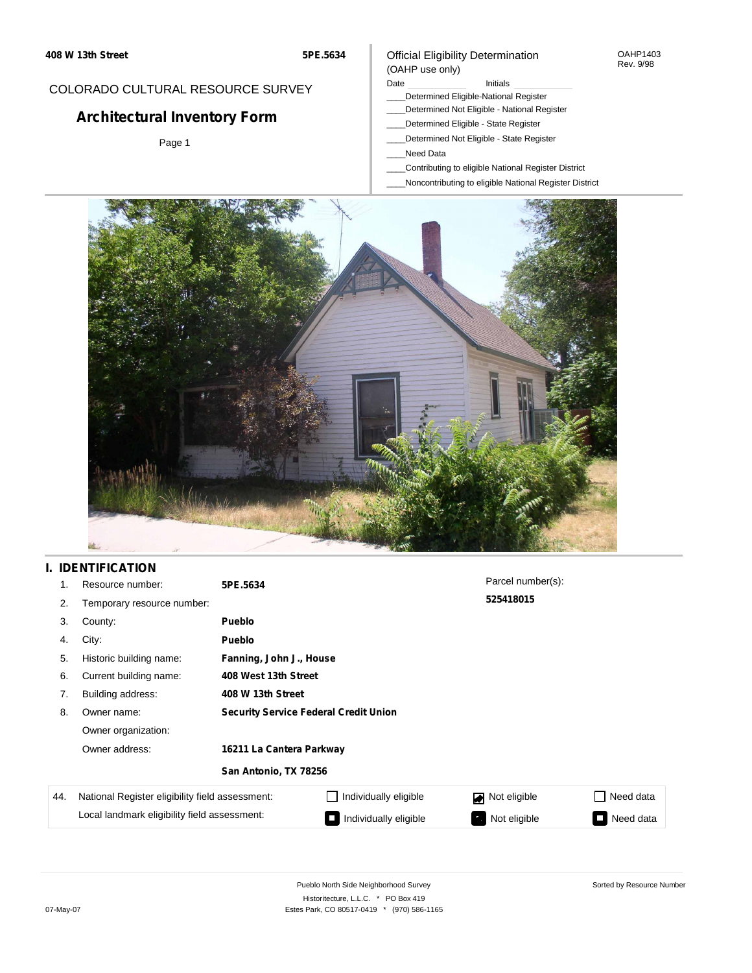OAHP1403 Rev. 9/98

### COLORADO CULTURAL RESOURCE SURVEY

# **Architectural Inventory Form**

Page 1

### Date **Initials** Initials

- \_\_\_\_Determined Eligible-National Register
- \_\_\_\_Determined Not Eligible National Register
- \_\_\_\_Determined Eligible State Register

Official Eligibility Determination

- \_\_\_\_Determined Not Eligible State Register
- \_\_\_\_Need Data

(OAHP use only)

- \_\_\_\_Contributing to eligible National Register District
- \_\_\_\_Noncontributing to eligible National Register District



### **I. IDENTIFICATION**

| 1.  | Resource number:                                | 5PE.5634                                     |                       | Parcel number(s): |                 |  |  |
|-----|-------------------------------------------------|----------------------------------------------|-----------------------|-------------------|-----------------|--|--|
| 2.  | Temporary resource number:                      |                                              |                       | 525418015         |                 |  |  |
| 3.  | County:                                         | <b>Pueblo</b>                                |                       |                   |                 |  |  |
| 4.  | City:                                           | <b>Pueblo</b>                                |                       |                   |                 |  |  |
| 5.  | Historic building name:                         | Fanning, John J., House                      |                       |                   |                 |  |  |
| 6.  | Current building name:                          | 408 West 13th Street                         |                       |                   |                 |  |  |
| 7.  | Building address:                               | 408 W 13th Street                            |                       |                   |                 |  |  |
| 8.  | Owner name:                                     | <b>Security Service Federal Credit Union</b> |                       |                   |                 |  |  |
|     | Owner organization:                             |                                              |                       |                   |                 |  |  |
|     | Owner address:                                  | 16211 La Cantera Parkway                     |                       |                   |                 |  |  |
|     |                                                 | San Antonio, TX 78256                        |                       |                   |                 |  |  |
| 44. | National Register eligibility field assessment: |                                              | Individually eligible | Not eligible<br>◪ | Need data       |  |  |
|     | Local landmark eligibility field assessment:    |                                              | Individually eligible | Not eligible<br>ъ | Need data<br>I. |  |  |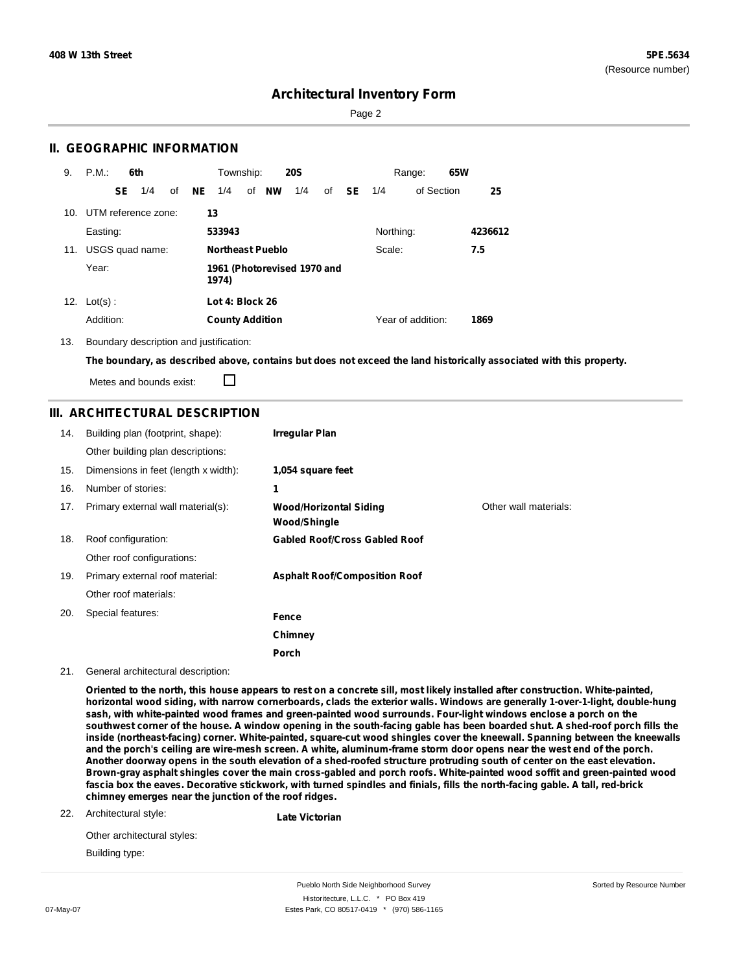Sorted by Resource Number

### **Architectural Inventory Form**

Page 2

### **II. GEOGRAPHIC INFORMATION**

| 9.  | P.M.                    |     | 6th             |    |     | Township:                            |  |                         | <b>20S</b> |    |           |           | Range:            | 65W |         |
|-----|-------------------------|-----|-----------------|----|-----|--------------------------------------|--|-------------------------|------------|----|-----------|-----------|-------------------|-----|---------|
|     |                         | SE. | 1/4             | of | NE. | 1/4                                  |  | of NW                   | 1/4        | of | <b>SE</b> | 1/4       | of Section        |     | 25      |
|     | 10. UTM reference zone: |     |                 |    | 13  |                                      |  |                         |            |    |           |           |                   |     |         |
|     | Easting:                |     |                 |    |     | 533943                               |  |                         |            |    |           | Northing: |                   |     | 4236612 |
| 11. |                         |     | USGS quad name: |    |     |                                      |  | <b>Northeast Pueblo</b> |            |    |           | Scale:    |                   |     | 7.5     |
|     | Year:                   |     |                 |    |     | 1961 (Photorevised 1970 and<br>1974) |  |                         |            |    |           |           |                   |     |         |
| 12. | $Lot(s)$ :              |     |                 |    |     | Lot 4: Block 26                      |  |                         |            |    |           |           |                   |     |         |
|     | Addition:               |     |                 |    |     | <b>County Addition</b>               |  |                         |            |    |           |           | Year of addition: |     | 1869    |

13. Boundary description and justification:

The boundary, as described above, contains but does not exceed the land historically associated with this property.

П Metes and bounds exist:

### **III. ARCHITECTURAL DESCRIPTION**

| 14. | Building plan (footprint, shape):    | <b>Irregular Plan</b>                         |                       |
|-----|--------------------------------------|-----------------------------------------------|-----------------------|
|     | Other building plan descriptions:    |                                               |                       |
| 15. | Dimensions in feet (length x width): | 1,054 square feet                             |                       |
| 16. | Number of stories:                   | 1                                             |                       |
| 17. | Primary external wall material(s):   | <b>Wood/Horizontal Siding</b><br>Wood/Shingle | Other wall materials: |
| 18. | Roof configuration:                  | <b>Gabled Roof/Cross Gabled Roof</b>          |                       |
|     | Other roof configurations:           |                                               |                       |
| 19. | Primary external roof material:      | <b>Asphalt Roof/Composition Roof</b>          |                       |
|     | Other roof materials:                |                                               |                       |
| 20. | Special features:                    | Fence                                         |                       |
|     |                                      | Chimney                                       |                       |
|     |                                      | Porch                                         |                       |

21. General architectural description:

Oriented to the north, this house appears to rest on a concrete sill, most likely installed after construction. White-painted, horizontal wood siding, with narrow cornerboards, clads the exterior walls. Windows are generally 1-over-1-light, double-hung **sash, with white-painted wood frames and green-painted wood surrounds. Four-light windows enclose a porch on the** southwest corner of the house. A window opening in the south-facing gable has been boarded shut. A shed-roof porch fills the **inside (northeast-facing) corner. White-painted, square-cut wood shingles cover the kneewall. Spanning between the kneewalls** and the porch's ceiling are wire-mesh screen. A white, aluminum-frame storm door opens near the west end of the porch. Another doorway opens in the south elevation of a shed-roofed structure protruding south of center on the east elevation. Brown-gray asphalt shingles cover the main cross-gabled and porch roofs. White-painted wood soffit and green-painted wood fascia box the eaves. Decorative stickwork, with turned spindles and finials, fills the north-facing gable. A tall, red-brick **chimney emerges near the junction of the roof ridges.**

22. Architectural style:

**Late Victorian**

Other architectural styles: Building type:

Pueblo North Side Neighborhood Survey Historitecture, L.L.C. \* PO Box 419 07-May-07 **Estes Park, CO 80517-0419** \* (970) 586-1165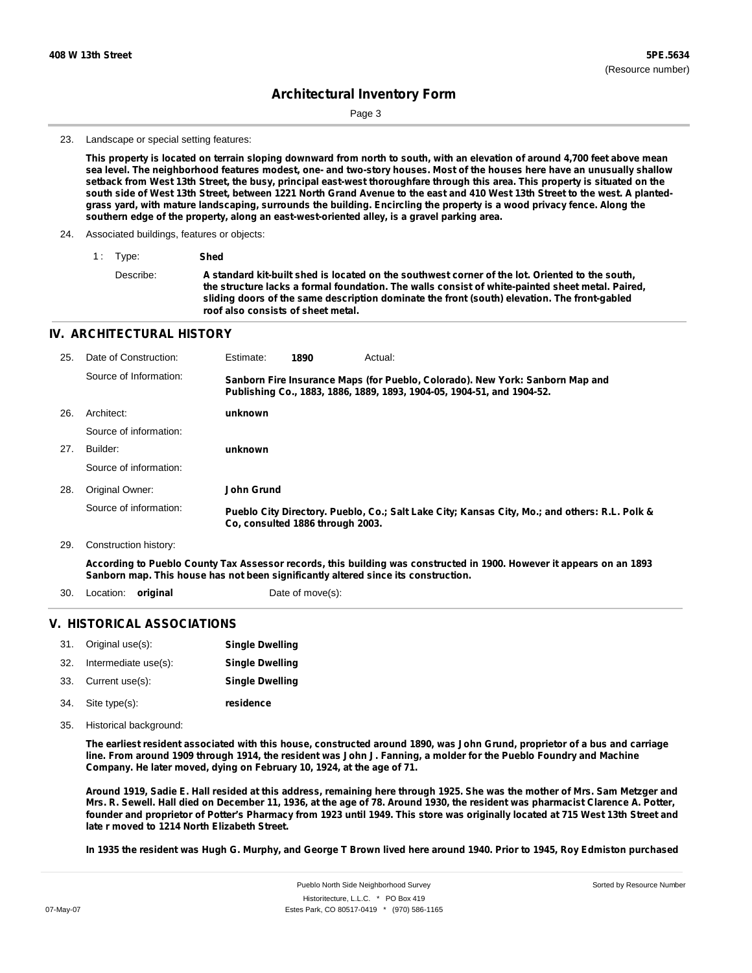Sorted by Resource Number

## **Architectural Inventory Form**

Page 3

#### 23. Landscape or special setting features:

This property is located on terrain sloping downward from north to south, with an elevation of around 4,700 feet above mean sea level. The neighborhood features modest, one- and two-story houses. Most of the houses here have an unusually shallow setback from West 13th Street, the busy, principal east-west thoroughfare through this area. This property is situated on the south side of West 13th Street, between 1221 North Grand Avenue to the east and 410 West 13th Street to the west. A plantedgrass yard, with mature landscaping, surrounds the building. Encircling the property is a wood privacy fence. Along the **southern edge of the property, along an east-west-oriented alley, is a gravel parking area.**

- 24. Associated buildings, features or objects:
	- 1 : Type: **Shed** Describe: **A standard kit-built shed is located on the southwest corner of the lot. Oriented to the south, the structure lacks a formal foundation. The walls consist of white-painted sheet metal. Paired, sliding doors of the same description dominate the front (south) elevation. The front-gabled roof also consists of sheet metal.**

#### **IV. ARCHITECTURAL HISTORY**

| 25. | Date of Construction:  | Estimate:  | 1890                             | Actual:                                                                                                                                                 |
|-----|------------------------|------------|----------------------------------|---------------------------------------------------------------------------------------------------------------------------------------------------------|
|     | Source of Information: |            |                                  | Sanborn Fire Insurance Maps (for Pueblo, Colorado). New York: Sanborn Map and<br>Publishing Co., 1883, 1886, 1889, 1893, 1904-05, 1904-51, and 1904-52. |
| 26. | Architect:             | unknown    |                                  |                                                                                                                                                         |
|     | Source of information: |            |                                  |                                                                                                                                                         |
| 27. | Builder:               | unknown    |                                  |                                                                                                                                                         |
|     | Source of information: |            |                                  |                                                                                                                                                         |
| 28. | Original Owner:        | John Grund |                                  |                                                                                                                                                         |
|     | Source of information: |            | Co. consulted 1886 through 2003. | Pueblo City Directory. Pueblo, Co.; Salt Lake City; Kansas City, Mo.; and others: R.L. Polk &                                                           |
| 29. | Construction history:  |            |                                  |                                                                                                                                                         |

According to Pueblo County Tax Assessor records, this building was constructed in 1900. However it appears on an 1893 **Sanborn map. This house has not been significantly altered since its construction.**

30. Location: **original Date of move(s):** 

#### **V. HISTORICAL ASSOCIATIONS**

|     | 31. Original use(s): | <b>Single Dwelling</b> |
|-----|----------------------|------------------------|
| 32. | Intermediate use(s): | <b>Single Dwelling</b> |
| 33. | Current use(s):      | <b>Single Dwelling</b> |
|     | 34. Site type(s):    | residence              |

35. Historical background:

The earliest resident associated with this house, constructed around 1890, was John Grund, proprietor of a bus and carriage line. From around 1909 through 1914, the resident was John J. Fanning, a molder for the Pueblo Foundry and Machine **Company. He later moved, dying on February 10, 1924, at the age of 71.**

Around 1919, Sadie E. Hall resided at this address, remaining here through 1925. She was the mother of Mrs. Sam Metzger and Mrs. R. Sewell. Hall died on December 11, 1936, at the age of 78. Around 1930, the resident was pharmacist Clarence A. Potter, founder and proprietor of Potter's Pharmacy from 1923 until 1949. This store was originally located at 715 West 13th Street and **late r moved to 1214 North Elizabeth Street.**

In 1935 the resident was Hugh G. Murphy, and George T Brown lived here around 1940. Prior to 1945, Roy Edmiston purchased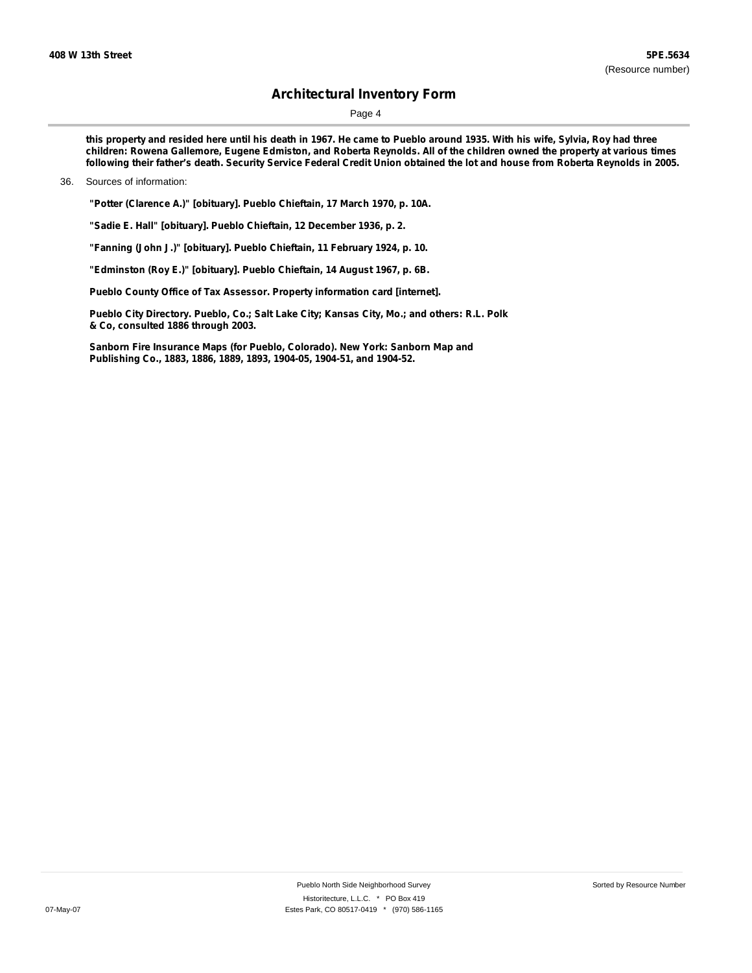Page 4

this property and resided here until his death in 1967. He came to Pueblo around 1935. With his wife, Sylvia, Roy had three children: Rowena Gallemore, Eugene Edmiston, and Roberta Reynolds. All of the children owned the property at various times following their father's death. Security Service Federal Credit Union obtained the lot and house from Roberta Reynolds in 2005.

#### 36. Sources of information:

**"Potter (Clarence A.)" [obituary]. Pueblo Chieftain, 17 March 1970, p. 10A.**

**"Sadie E. Hall" [obituary]. Pueblo Chieftain, 12 December 1936, p. 2.**

**"Fanning (John J.)" [obituary]. Pueblo Chieftain, 11 February 1924, p. 10.**

**"Edminston (Roy E.)" [obituary]. Pueblo Chieftain, 14 August 1967, p. 6B.**

**Pueblo County Office of Tax Assessor. Property information card [internet].**

**Pueblo City Directory. Pueblo, Co.; Salt Lake City; Kansas City, Mo.; and others: R.L. Polk & Co, consulted 1886 through 2003.**

**Sanborn Fire Insurance Maps (for Pueblo, Colorado). New York: Sanborn Map and Publishing Co., 1883, 1886, 1889, 1893, 1904-05, 1904-51, and 1904-52.**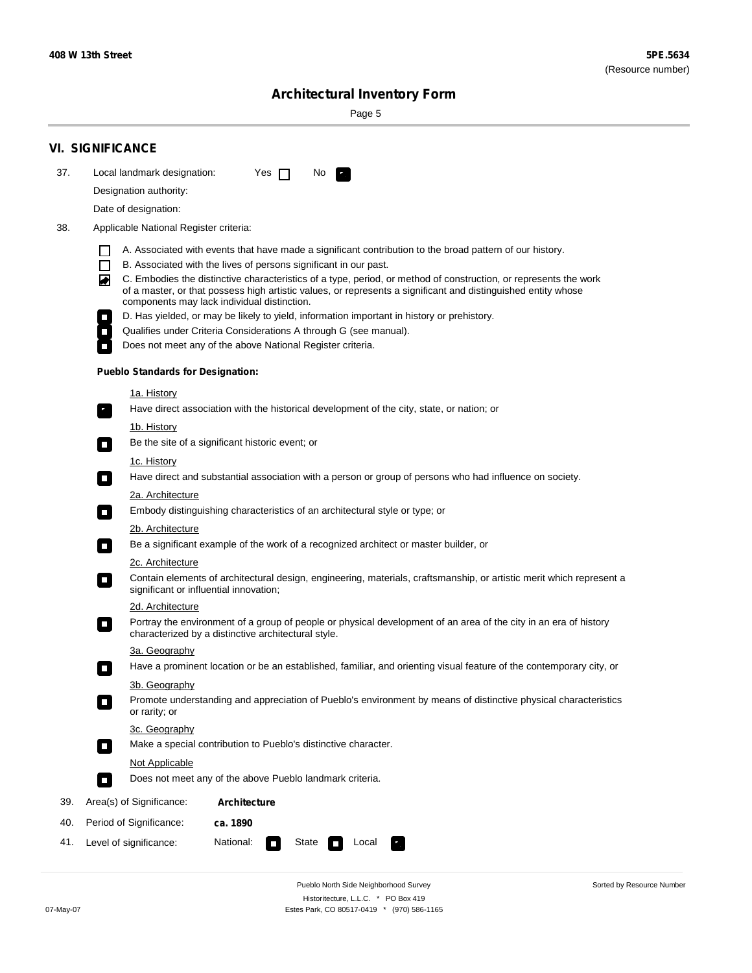÷

Sorted by Resource Number

# **Architectural Inventory Form**

Page 5

|                                               | <b>VI. SIGNIFICANCE</b>                                                                                                                                                                             |  |  |  |  |  |  |  |
|-----------------------------------------------|-----------------------------------------------------------------------------------------------------------------------------------------------------------------------------------------------------|--|--|--|--|--|--|--|
| 37.                                           | Local landmark designation:<br>Yes $\Box$<br>No.<br>$\mathbf{r}_1$                                                                                                                                  |  |  |  |  |  |  |  |
|                                               | Designation authority:                                                                                                                                                                              |  |  |  |  |  |  |  |
|                                               | Date of designation:                                                                                                                                                                                |  |  |  |  |  |  |  |
| 38.<br>Applicable National Register criteria: |                                                                                                                                                                                                     |  |  |  |  |  |  |  |
|                                               |                                                                                                                                                                                                     |  |  |  |  |  |  |  |
|                                               | A. Associated with events that have made a significant contribution to the broad pattern of our history.<br>H<br>B. Associated with the lives of persons significant in our past.<br>$\mathbf{I}$   |  |  |  |  |  |  |  |
|                                               | C. Embodies the distinctive characteristics of a type, period, or method of construction, or represents the work<br>◙                                                                               |  |  |  |  |  |  |  |
|                                               | of a master, or that possess high artistic values, or represents a significant and distinguished entity whose<br>components may lack individual distinction.                                        |  |  |  |  |  |  |  |
|                                               | D. Has yielded, or may be likely to yield, information important in history or prehistory.                                                                                                          |  |  |  |  |  |  |  |
|                                               | Qualifies under Criteria Considerations A through G (see manual).<br>$\overline{\phantom{a}}$                                                                                                       |  |  |  |  |  |  |  |
|                                               | Does not meet any of the above National Register criteria.                                                                                                                                          |  |  |  |  |  |  |  |
|                                               | <b>Pueblo Standards for Designation:</b>                                                                                                                                                            |  |  |  |  |  |  |  |
|                                               | 1a. History                                                                                                                                                                                         |  |  |  |  |  |  |  |
|                                               | Have direct association with the historical development of the city, state, or nation; or<br>$\overline{\phantom{a}}$ .                                                                             |  |  |  |  |  |  |  |
|                                               | <u>1b. History</u>                                                                                                                                                                                  |  |  |  |  |  |  |  |
|                                               | Be the site of a significant historic event; or<br>$\Box$                                                                                                                                           |  |  |  |  |  |  |  |
|                                               | 1c. History                                                                                                                                                                                         |  |  |  |  |  |  |  |
|                                               | Have direct and substantial association with a person or group of persons who had influence on society.<br>$\Box$                                                                                   |  |  |  |  |  |  |  |
|                                               | 2a. Architecture                                                                                                                                                                                    |  |  |  |  |  |  |  |
|                                               | Embody distinguishing characteristics of an architectural style or type; or<br>$\Box$                                                                                                               |  |  |  |  |  |  |  |
|                                               | 2b. Architecture<br>Be a significant example of the work of a recognized architect or master builder, or                                                                                            |  |  |  |  |  |  |  |
|                                               | $\overline{\phantom{a}}$<br>2c. Architecture                                                                                                                                                        |  |  |  |  |  |  |  |
|                                               | Contain elements of architectural design, engineering, materials, craftsmanship, or artistic merit which represent a<br>$\Box$<br>significant or influential innovation;                            |  |  |  |  |  |  |  |
|                                               | 2d. Architecture                                                                                                                                                                                    |  |  |  |  |  |  |  |
|                                               | Portray the environment of a group of people or physical development of an area of the city in an era of history<br>$\overline{\phantom{a}}$<br>characterized by a distinctive architectural style. |  |  |  |  |  |  |  |
|                                               | 3a. Geography                                                                                                                                                                                       |  |  |  |  |  |  |  |
|                                               | Have a prominent location or be an established, familiar, and orienting visual feature of the contemporary city, or                                                                                 |  |  |  |  |  |  |  |
|                                               | 3b. Geography                                                                                                                                                                                       |  |  |  |  |  |  |  |
|                                               | Promote understanding and appreciation of Pueblo's environment by means of distinctive physical characteristics<br>or rarity; or                                                                    |  |  |  |  |  |  |  |
|                                               | 3c. Geography                                                                                                                                                                                       |  |  |  |  |  |  |  |
|                                               | Make a special contribution to Pueblo's distinctive character.<br>$\Box$                                                                                                                            |  |  |  |  |  |  |  |
|                                               | Not Applicable                                                                                                                                                                                      |  |  |  |  |  |  |  |
|                                               | Does not meet any of the above Pueblo landmark criteria.<br>$\Box$                                                                                                                                  |  |  |  |  |  |  |  |
| 39.                                           | Area(s) of Significance:<br><b>Architecture</b>                                                                                                                                                     |  |  |  |  |  |  |  |
| 40.                                           | Period of Significance:<br>ca. 1890                                                                                                                                                                 |  |  |  |  |  |  |  |
| 41.                                           | National:<br>State<br>Level of significance:<br>Local<br>κ,<br><b>The State</b>                                                                                                                     |  |  |  |  |  |  |  |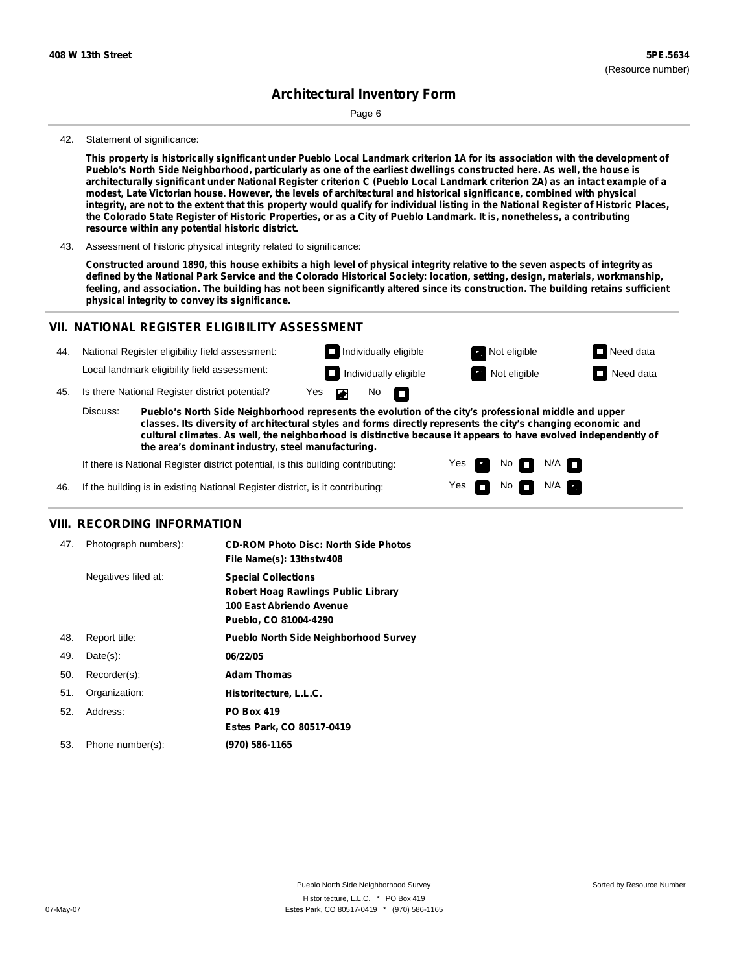Page 6

#### 42. Statement of significance:

This property is historically significant under Pueblo Local Landmark criterion 1A for its association with the development of Pueblo's North Side Neighborhood, particularly as one of the earliest dwellings constructed here. As well, the house is architecturally significant under National Register criterion C (Pueblo Local Landmark criterion 2A) as an intact example of a **modest, Late Victorian house. However, the levels of architectural and historical significance, combined with physical** integrity, are not to the extent that this property would qualify for individual listing in the National Register of Historic Places, the Colorado State Register of Historic Properties, or as a City of Pueblo Landmark. It is, nonetheless, a contributing **resource within any potential historic district.**

43. Assessment of historic physical integrity related to significance:

Constructed around 1890, this house exhibits a high level of physical integrity relative to the seven aspects of integrity as defined by the National Park Service and the Colorado Historical Society: location, setting, design, materials, workmanship, feeling, and association. The building has not been significantly altered since its construction. The building retains sufficient **physical integrity to convey its significance.**

### **VII. NATIONAL REGISTER ELIGIBILITY ASSESSMENT**



**classes. Its diversity of architectural styles and forms directly represents the city's changing economic and cultural climates. As well, the neighborhood is distinctive because it appears to have evolved independently of the area's dominant industry, steel manufacturing.**

> Yes Yes

No **DI**N/A No  $\blacksquare$  N/A  $\blacksquare$ 

If there is National Register district potential, is this building contributing:

If the building is in existing National Register district, is it contributing: 46.

### **VIII. RECORDING INFORMATION**

| 47. | Photograph numbers): | <b>CD-ROM Photo Disc: North Side Photos</b><br>File Name(s): 13thstw408                                                       |
|-----|----------------------|-------------------------------------------------------------------------------------------------------------------------------|
|     | Negatives filed at:  | <b>Special Collections</b><br><b>Robert Hoag Rawlings Public Library</b><br>100 East Abriendo Avenue<br>Pueblo, CO 81004-4290 |
| 48. | Report title:        | <b>Pueblo North Side Neighborhood Survey</b>                                                                                  |
| 49. | $Date(s)$ :          | 06/22/05                                                                                                                      |
| 50. | Recorder(s):         | <b>Adam Thomas</b>                                                                                                            |
| 51. | Organization:        | Historitecture, L.L.C.                                                                                                        |
| 52. | Address:             | <b>PO Box 419</b>                                                                                                             |
|     |                      | Estes Park, CO 80517-0419                                                                                                     |
| 53. | Phone number(s):     | (970) 586-1165                                                                                                                |
|     |                      |                                                                                                                               |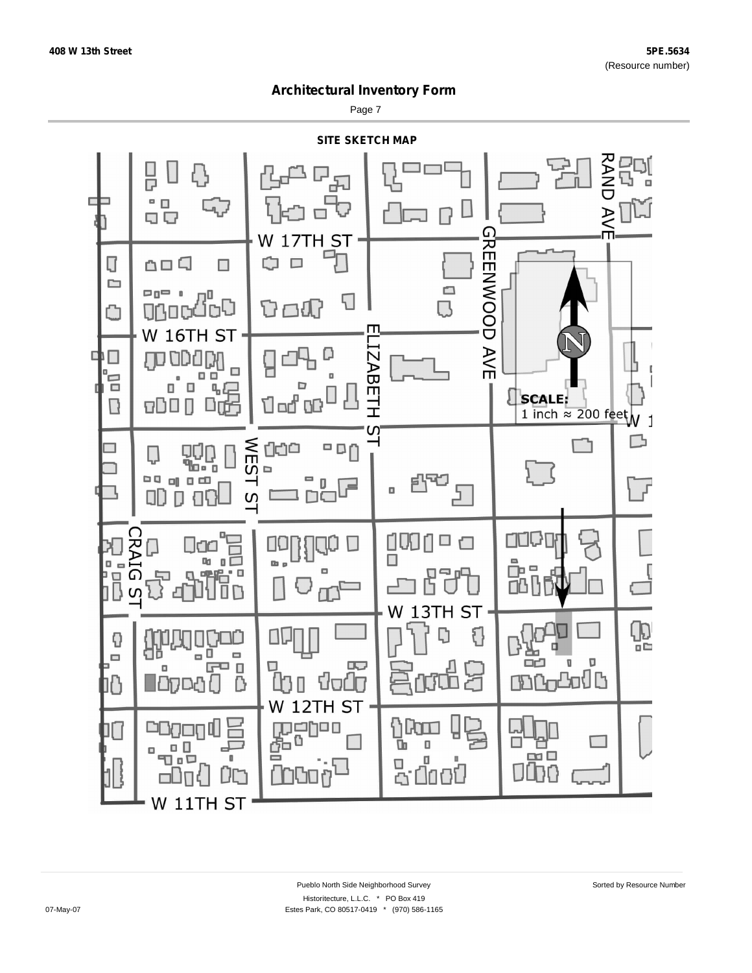Page 7